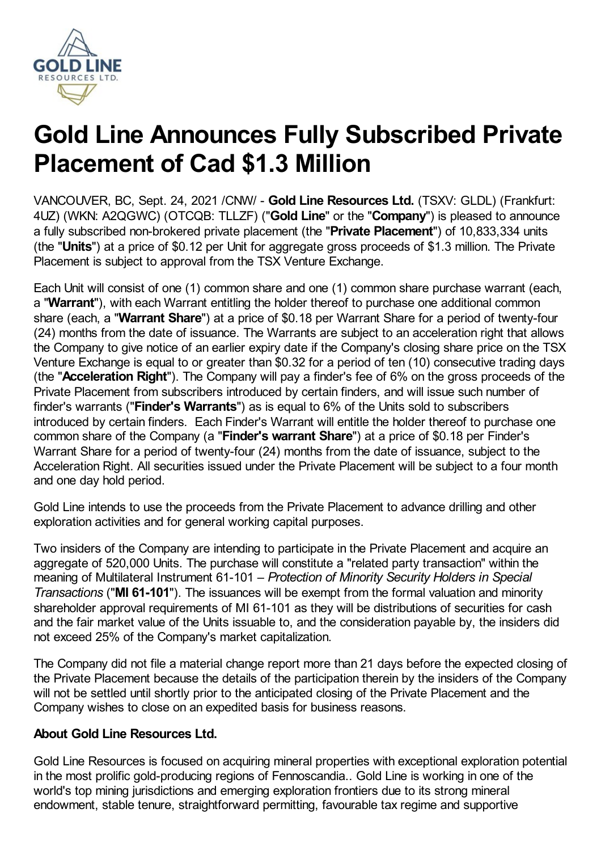

# **Gold Line Announces Fully Subscribed Private Placement of Cad \$1.3 Million**

VANCOUVER, BC, Sept. 24, 2021 /CNW/ - **Gold Line Resources Ltd.** (TSXV: GLDL) (Frankfurt: 4UZ) (WKN: A2QGWC) (OTCQB: TLLZF) ("**Gold Line**" or the "**Company**") is pleased to announce a fully subscribed non-brokered private placement (the "**Private Placement**") of 10,833,334 units (the "**Units**") at a price of \$0.12 per Unit for aggregate gross proceeds of \$1.3 million. The Private Placement is subject to approval from the TSX Venture Exchange.

Each Unit will consist of one (1) common share and one (1) common share purchase warrant (each, a "**Warrant**"), with each Warrant entitling the holder thereof to purchase one additional common share (each, a "**Warrant Share**") at a price of \$0.18 per Warrant Share for a period of twenty-four (24) months from the date of issuance. The Warrants are subject to an acceleration right that allows the Company to give notice of an earlier expiry date if the Company's closing share price on the TSX Venture Exchange is equal to or greater than \$0.32 for a period of ten (10) consecutive trading days (the "**Acceleration Right**"). The Company will pay a finder's fee of 6% on the gross proceeds of the Private Placement from subscribers introduced by certain finders, and will issue such number of finder's warrants ("**Finder's Warrants**") as is equal to 6% of the Units sold to subscribers introduced by certain finders. Each Finder's Warrant will entitle the holder thereof to purchase one common share of the Company (a "**Finder's warrant Share**") at a price of \$0.18 per Finder's Warrant Share for a period of twenty-four (24) months from the date of issuance, subject to the Acceleration Right. All securities issued under the Private Placement will be subject to a four month and one day hold period.

Gold Line intends to use the proceeds from the Private Placement to advance drilling and other exploration activities and for general working capital purposes.

Two insiders of the Company are intending to participate in the Private Placement and acquire an aggregate of 520,000 Units. The purchase will constitute a "related party transaction" within the meaning of Multilateral Instrument 61-101 – *Protection of Minority Security Holders in Special Transactions* ("**MI 61-101**"). The issuances will be exempt from the formal valuation and minority shareholder approval requirements of MI 61-101 as they will be distributions of securities for cash and the fair market value of the Units issuable to, and the consideration payable by, the insiders did not exceed 25% of the Company's market capitalization.

The Company did not file a material change report more than 21 days before the expected closing of the Private Placement because the details of the participation therein by the insiders of the Company will not be settled until shortly prior to the anticipated closing of the Private Placement and the Company wishes to close on an expedited basis for business reasons.

## **About Gold Line Resources Ltd.**

Gold Line Resources is focused on acquiring mineral properties with exceptional exploration potential in the most prolific gold-producing regions of Fennoscandia.. Gold Line is working in one of the world's top mining jurisdictions and emerging exploration frontiers due to its strong mineral endowment, stable tenure, straightforward permitting, favourable tax regime and supportive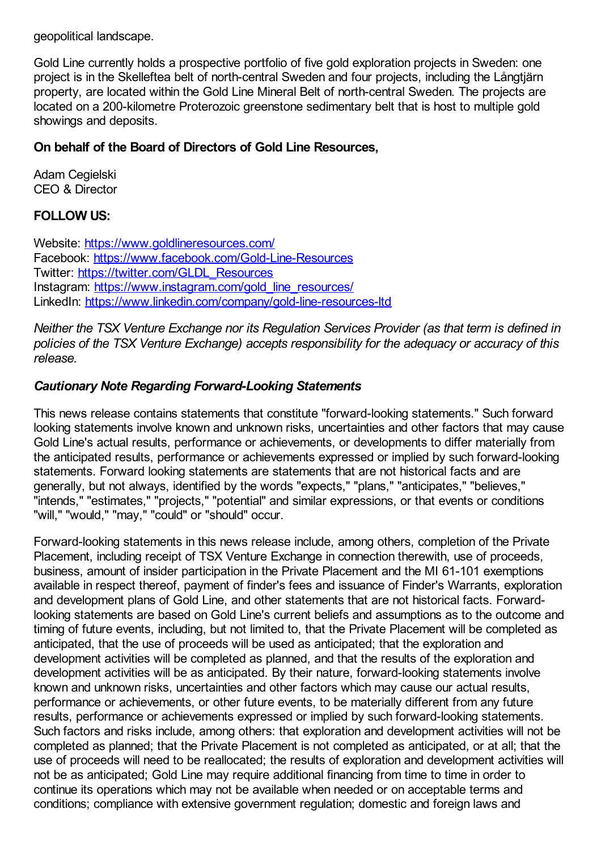geopolitical landscape.

Gold Line currently holds a prospective portfolio of five gold exploration projects in Sweden: one project is in the Skelleftea belt of north-central Sweden and four projects, including the Långtjärn property, are located within the Gold Line Mineral Belt of north-central Sweden. The projects are located on a 200-kilometre Proterozoic greenstone sedimentary belt that is host to multiple gold showings and deposits.

#### **On behalf of the Board of Directors of Gold Line Resources,**

Adam Cegielski CEO & Director

#### **FOLLOW US:**

Website: <https://www.goldlineresources.com/> Facebook: <https://www.facebook.com/Gold-Line-Resources> Twitter: [https://twitter.com/GLDL\\_Resources](https://twitter.com/GLDL_Resources) Instagram: https://www.instagram.com/gold line\_resources/ LinkedIn: <https://www.linkedin.com/company/gold-line-resources-ltd>

*Neither the TSX Venture Exchange nor its Regulation Services Provider (as that term is defined in policies of the TSX Venture Exchange) accepts responsibility for the adequacy or accuracy of this release.*

### *Cautionary Note Regarding Forward-Looking Statements*

This news release contains statements that constitute "forward-looking statements." Such forward looking statements involve known and unknown risks, uncertainties and other factors that may cause Gold Line's actual results, performance or achievements, or developments to differ materially from the anticipated results, performance or achievements expressed or implied by such forward-looking statements. Forward looking statements are statements that are not historical facts and are generally, but not always, identified by the words "expects," "plans," "anticipates," "believes," "intends," "estimates," "projects," "potential" and similar expressions, or that events or conditions "will," "would," "may," "could" or "should" occur.

Forward-looking statements in this news release include, among others, completion of the Private Placement, including receipt of TSX Venture Exchange in connection therewith, use of proceeds, business, amount of insider participation in the Private Placement and the MI 61-101 exemptions available in respect thereof, payment of finder's fees and issuance of Finder's Warrants, exploration and development plans of Gold Line, and other statements that are not historical facts. Forwardlooking statements are based on Gold Line's current beliefs and assumptions as to the outcome and timing of future events, including, but not limited to, that the Private Placement will be completed as anticipated, that the use of proceeds will be used as anticipated; that the exploration and development activities will be completed as planned, and that the results of the exploration and development activities will be as anticipated. By their nature, forward-looking statements involve known and unknown risks, uncertainties and other factors which may cause our actual results, performance or achievements, or other future events, to be materially different from any future results, performance or achievements expressed or implied by such forward-looking statements. Such factors and risks include, among others: that exploration and development activities will not be completed as planned; that the Private Placement is not completed as anticipated, or at all; that the use of proceeds will need to be reallocated; the results of exploration and development activities will not be as anticipated; Gold Line may require additional financing from time to time in order to continue its operations which may not be available when needed or on acceptable terms and conditions; compliance with extensive government regulation; domestic and foreign laws and